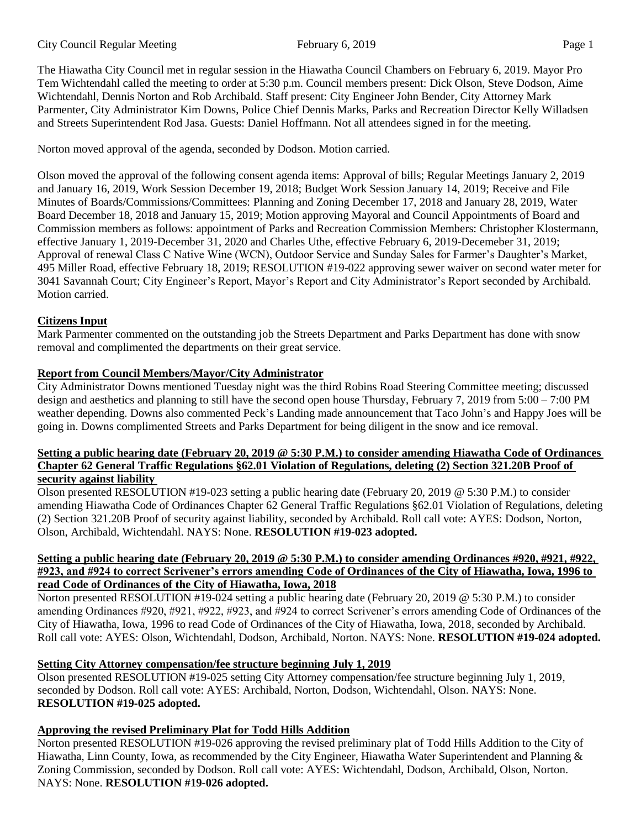The Hiawatha City Council met in regular session in the Hiawatha Council Chambers on February 6, 2019. Mayor Pro Tem Wichtendahl called the meeting to order at 5:30 p.m. Council members present: Dick Olson, Steve Dodson, Aime Wichtendahl, Dennis Norton and Rob Archibald. Staff present: City Engineer John Bender, City Attorney Mark Parmenter, City Administrator Kim Downs, Police Chief Dennis Marks, Parks and Recreation Director Kelly Willadsen and Streets Superintendent Rod Jasa. Guests: Daniel Hoffmann. Not all attendees signed in for the meeting.

Norton moved approval of the agenda, seconded by Dodson. Motion carried.

Olson moved the approval of the following consent agenda items: Approval of bills; Regular Meetings January 2, 2019 and January 16, 2019, Work Session December 19, 2018; Budget Work Session January 14, 2019; Receive and File Minutes of Boards/Commissions/Committees: Planning and Zoning December 17, 2018 and January 28, 2019, Water Board December 18, 2018 and January 15, 2019; Motion approving Mayoral and Council Appointments of Board and Commission members as follows: appointment of Parks and Recreation Commission Members: Christopher Klostermann, effective January 1, 2019-December 31, 2020 and Charles Uthe, effective February 6, 2019-Decemeber 31, 2019; Approval of renewal Class C Native Wine (WCN), Outdoor Service and Sunday Sales for Farmer's Daughter's Market, 495 Miller Road, effective February 18, 2019; RESOLUTION #19-022 approving sewer waiver on second water meter for 3041 Savannah Court; City Engineer's Report, Mayor's Report and City Administrator's Report seconded by Archibald. Motion carried.

# **Citizens Input**

Mark Parmenter commented on the outstanding job the Streets Department and Parks Department has done with snow removal and complimented the departments on their great service.

## **Report from Council Members/Mayor/City Administrator**

City Administrator Downs mentioned Tuesday night was the third Robins Road Steering Committee meeting; discussed design and aesthetics and planning to still have the second open house Thursday, February 7, 2019 from 5:00 – 7:00 PM weather depending. Downs also commented Peck's Landing made announcement that Taco John's and Happy Joes will be going in. Downs complimented Streets and Parks Department for being diligent in the snow and ice removal.

#### **Setting a public hearing date (February 20, 2019 @ 5:30 P.M.) to consider amending Hiawatha Code of Ordinances Chapter 62 General Traffic Regulations §62.01 Violation of Regulations, deleting (2) Section 321.20B Proof of security against liability**

Olson presented RESOLUTION #19-023 setting a public hearing date (February 20, 2019 @ 5:30 P.M.) to consider amending Hiawatha Code of Ordinances Chapter 62 General Traffic Regulations §62.01 Violation of Regulations, deleting (2) Section 321.20B Proof of security against liability, seconded by Archibald. Roll call vote: AYES: Dodson, Norton, Olson, Archibald, Wichtendahl. NAYS: None. **RESOLUTION #19-023 adopted.**

#### **Setting a public hearing date (February 20, 2019 @ 5:30 P.M.) to consider amending Ordinances #920, #921, #922, #923, and #924 to correct Scrivener's errors amending Code of Ordinances of the City of Hiawatha, Iowa, 1996 to read Code of Ordinances of the City of Hiawatha, Iowa, 2018**

Norton presented RESOLUTION #19-024 setting a public hearing date (February 20, 2019 @ 5:30 P.M.) to consider amending Ordinances #920, #921, #922, #923, and #924 to correct Scrivener's errors amending Code of Ordinances of the City of Hiawatha, Iowa, 1996 to read Code of Ordinances of the City of Hiawatha, Iowa, 2018, seconded by Archibald. Roll call vote: AYES: Olson, Wichtendahl, Dodson, Archibald, Norton. NAYS: None. **RESOLUTION #19-024 adopted.** 

# **Setting City Attorney compensation/fee structure beginning July 1, 2019**

Olson presented RESOLUTION #19-025 setting City Attorney compensation/fee structure beginning July 1, 2019, seconded by Dodson. Roll call vote: AYES: Archibald, Norton, Dodson, Wichtendahl, Olson. NAYS: None. **RESOLUTION #19-025 adopted.** 

# **Approving the revised Preliminary Plat for Todd Hills Addition**

Norton presented RESOLUTION #19-026 approving the revised preliminary plat of Todd Hills Addition to the City of Hiawatha, Linn County, Iowa, as recommended by the City Engineer, Hiawatha Water Superintendent and Planning & Zoning Commission, seconded by Dodson. Roll call vote: AYES: Wichtendahl, Dodson, Archibald, Olson, Norton. NAYS: None. **RESOLUTION #19-026 adopted.**